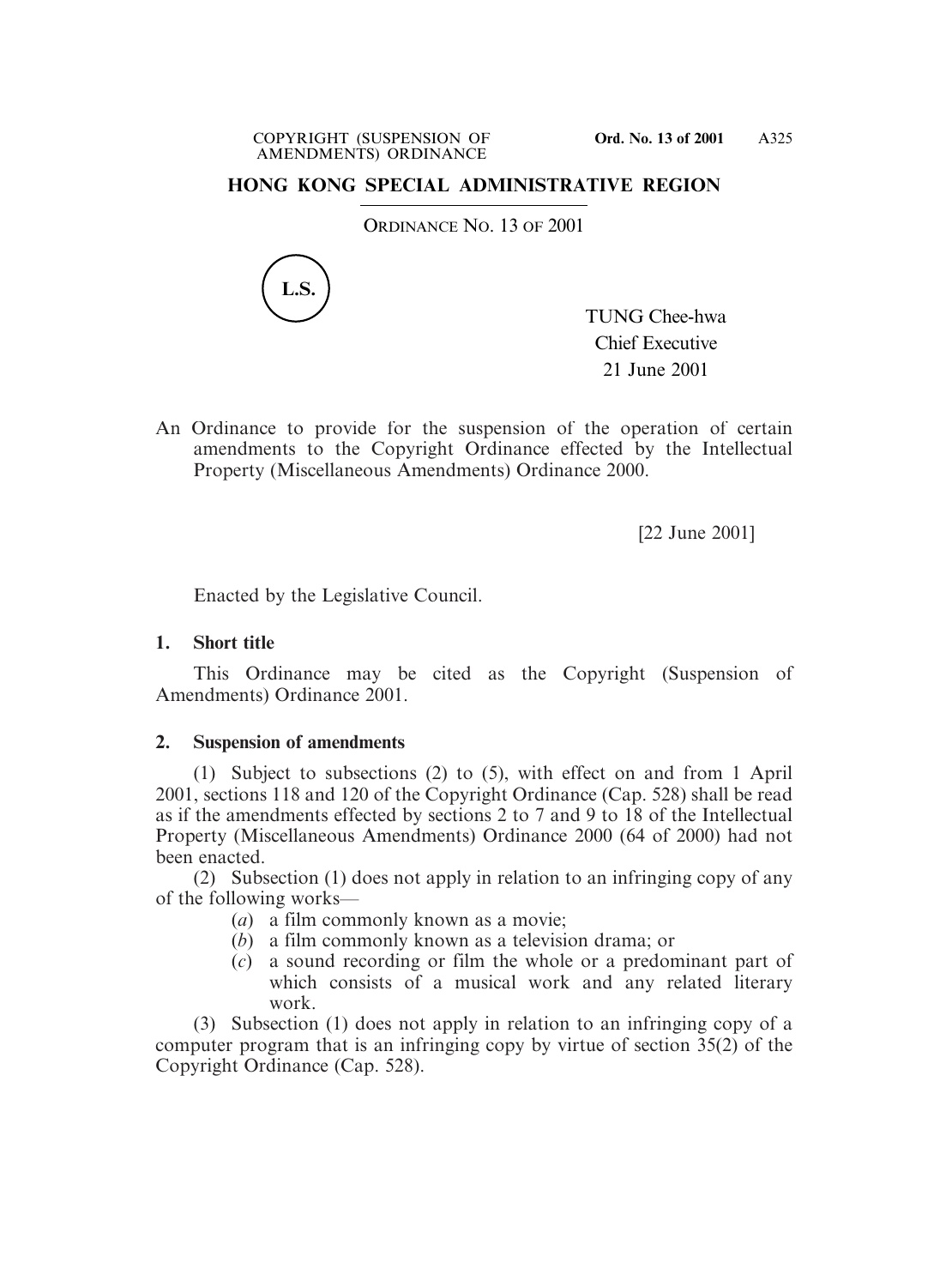# **HONG KONG SPECIAL ADMINISTRATIVE REGION**

ORDINANCE NO. 13 OF 2001



TUNG Chee-hwa Chief Executive 21 June 2001

An Ordinance to provide for the suspension of the operation of certain amendments to the Copyright Ordinance effected by the Intellectual Property (Miscellaneous Amendments) Ordinance 2000.

[22 June 2001]

Enacted by the Legislative Council.

### **1. Short title**

This Ordinance may be cited as the Copyright (Suspension of Amendments) Ordinance 2001.

## **2. Suspension of amendments**

(1) Subject to subsections (2) to (5), with effect on and from 1 April 2001, sections 118 and 120 of the Copyright Ordinance (Cap. 528) shall be read as if the amendments effected by sections 2 to 7 and 9 to 18 of the Intellectual Property (Miscellaneous Amendments) Ordinance 2000 (64 of 2000) had not been enacted.

(2) Subsection (1) does not apply in relation to an infringing copy of any of the following works—

- (*a*) a film commonly known as a movie;
- (*b*) a film commonly known as a television drama; or
- (*c*) a sound recording or film the whole or a predominant part of which consists of a musical work and any related literary work.

(3) Subsection (1) does not apply in relation to an infringing copy of a computer program that is an infringing copy by virtue of section 35(2) of the Copyright Ordinance (Cap. 528).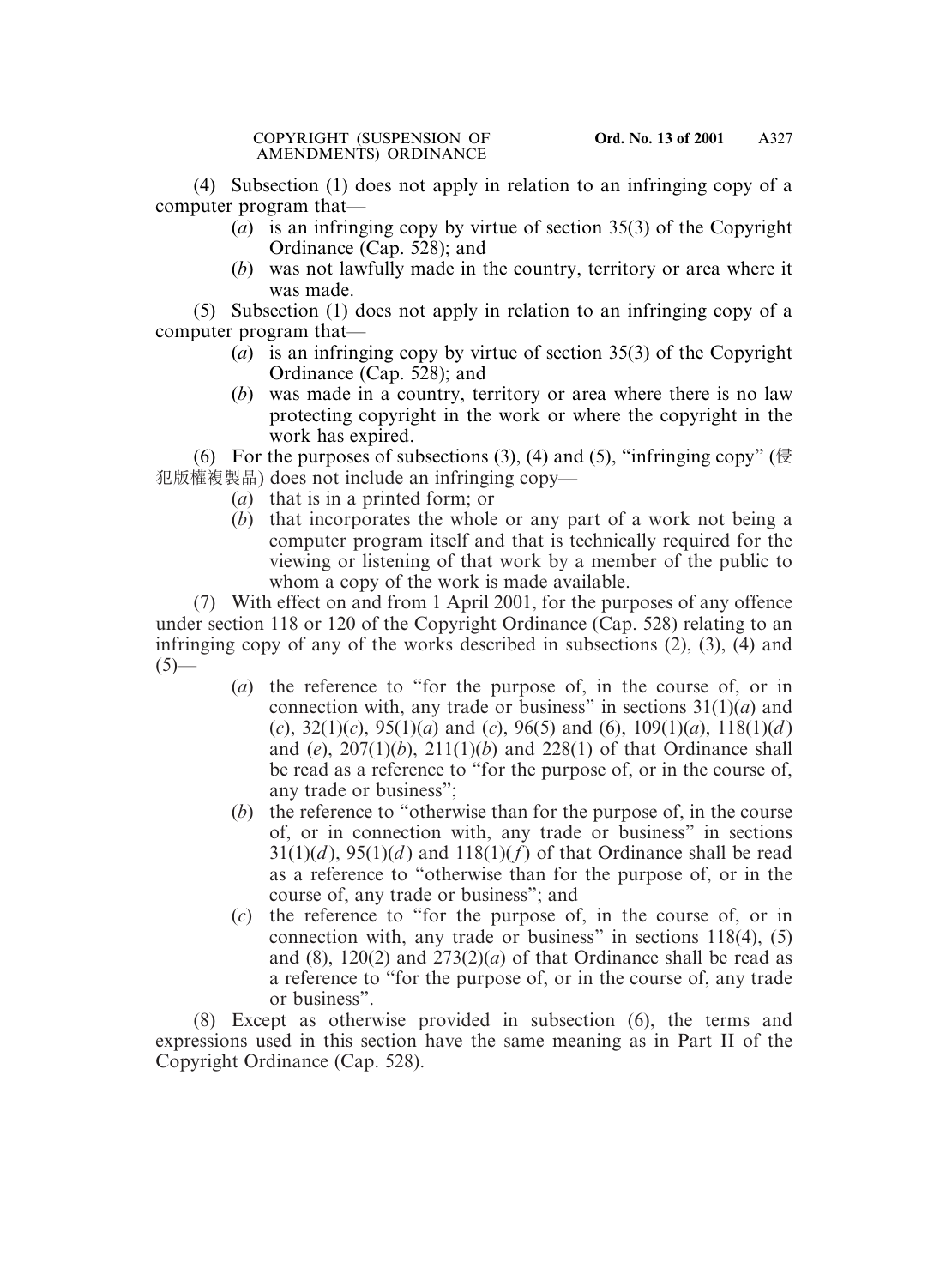(4) Subsection (1) does not apply in relation to an infringing copy of a computer program that—

- (*a*) is an infringing copy by virtue of section 35(3) of the Copyright Ordinance (Cap. 528); and
- (*b*) was not lawfully made in the country, territory or area where it was made.

(5) Subsection (1) does not apply in relation to an infringing copy of a computer program that—

- (*a*) is an infringing copy by virtue of section 35(3) of the Copyright Ordinance (Cap. 528); and
- (*b*) was made in a country, territory or area where there is no law protecting copyright in the work or where the copyright in the work has expired.

(6) For the purposes of subsections  $(3)$ ,  $(4)$  and  $(5)$ , "infringing copy" (侵 犯版權複製品) does not include an infringing copy—

- (*a*) that is in a printed form; or
- (*b*) that incorporates the whole or any part of a work not being a computer program itself and that is technically required for the viewing or listening of that work by a member of the public to whom a copy of the work is made available.

(7) With effect on and from 1 April 2001, for the purposes of any offence under section 118 or 120 of the Copyright Ordinance (Cap. 528) relating to an infringing copy of any of the works described in subsections (2), (3), (4) and  $(5)$ —

- (*a*) the reference to "for the purpose of, in the course of, or in connection with, any trade or business" in sections 31(1)(*a*) and (*c*), 32(1)(*c*), 95(1)(*a*) and (*c*), 96(5) and (6), 109(1)(*a*), 118(1)(*d* ) and (*e*), 207(1)(*b*), 211(1)(*b*) and 228(1) of that Ordinance shall be read as a reference to "for the purpose of, or in the course of, any trade or business";
- (*b*) the reference to "otherwise than for the purpose of, in the course of, or in connection with, any trade or business" in sections  $31(1)(d)$ ,  $95(1)(d)$  and  $118(1)(f)$  of that Ordinance shall be read as a reference to "otherwise than for the purpose of, or in the course of, any trade or business"; and
- (*c*) the reference to "for the purpose of, in the course of, or in connection with, any trade or business" in sections 118(4), (5) and  $(8)$ , 120 $(2)$  and 273 $(2)(a)$  of that Ordinance shall be read as a reference to "for the purpose of, or in the course of, any trade or business".

(8) Except as otherwise provided in subsection (6), the terms and expressions used in this section have the same meaning as in Part II of the Copyright Ordinance (Cap. 528).